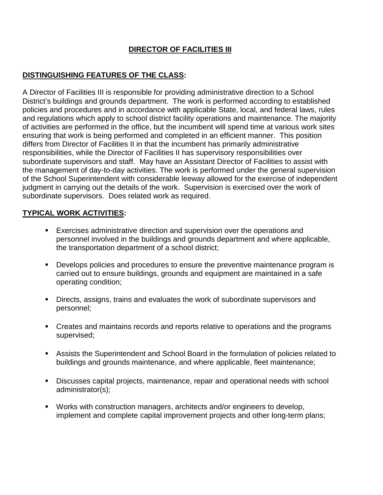## **DIRECTOR OF FACILITIES III**

## **DISTINGUISHING FEATURES OF THE CLASS:**

A Director of Facilities III is responsible for providing administrative direction to a School District's buildings and grounds department. The work is performed according to established policies and procedures and in accordance with applicable State, local, and federal laws, rules and regulations which apply to school district facility operations and maintenance. The majority of activities are performed in the office, but the incumbent will spend time at various work sites ensuring that work is being performed and completed in an efficient manner. This position differs from Director of Facilities II in that the incumbent has primarily administrative responsibilities, while the Director of Facilities II has supervisory responsibilities over subordinate supervisors and staff. May have an Assistant Director of Facilities to assist with the management of day-to-day activities. The work is performed under the general supervision of the School Superintendent with considerable leeway allowed for the exercise of independent judgment in carrying out the details of the work. Supervision is exercised over the work of subordinate supervisors. Does related work as required.

## **TYPICAL WORK ACTIVITIES:**

- Exercises administrative direction and supervision over the operations and personnel involved in the buildings and grounds department and where applicable, the transportation department of a school district;
- **Develops policies and procedures to ensure the preventive maintenance program is** carried out to ensure buildings, grounds and equipment are maintained in a safe operating condition;
- Directs, assigns, trains and evaluates the work of subordinate supervisors and personnel;
- Creates and maintains records and reports relative to operations and the programs supervised;
- Assists the Superintendent and School Board in the formulation of policies related to buildings and grounds maintenance, and where applicable, fleet maintenance;
- Discusses capital projects, maintenance, repair and operational needs with school administrator(s);
- Works with construction managers, architects and/or engineers to develop, implement and complete capital improvement projects and other long-term plans;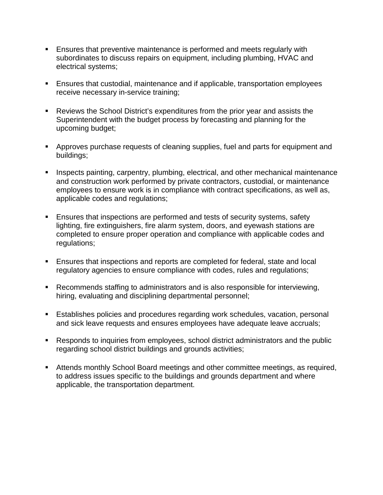- **Ensures that preventive maintenance is performed and meets regularly with** subordinates to discuss repairs on equipment, including plumbing, HVAC and electrical systems;
- Ensures that custodial, maintenance and if applicable, transportation employees receive necessary in-service training;
- Reviews the School District's expenditures from the prior year and assists the Superintendent with the budget process by forecasting and planning for the upcoming budget;
- Approves purchase requests of cleaning supplies, fuel and parts for equipment and buildings;
- **Inspects painting, carpentry, plumbing, electrical, and other mechanical maintenance** and construction work performed by private contractors, custodial, or maintenance employees to ensure work is in compliance with contract specifications, as well as, applicable codes and regulations;
- Ensures that inspections are performed and tests of security systems, safety lighting, fire extinguishers, fire alarm system, doors, and eyewash stations are completed to ensure proper operation and compliance with applicable codes and regulations;
- Ensures that inspections and reports are completed for federal, state and local regulatory agencies to ensure compliance with codes, rules and regulations;
- Recommends staffing to administrators and is also responsible for interviewing, hiring, evaluating and disciplining departmental personnel;
- Establishes policies and procedures regarding work schedules, vacation, personal and sick leave requests and ensures employees have adequate leave accruals;
- Responds to inquiries from employees, school district administrators and the public regarding school district buildings and grounds activities;
- Attends monthly School Board meetings and other committee meetings, as required, to address issues specific to the buildings and grounds department and where applicable, the transportation department.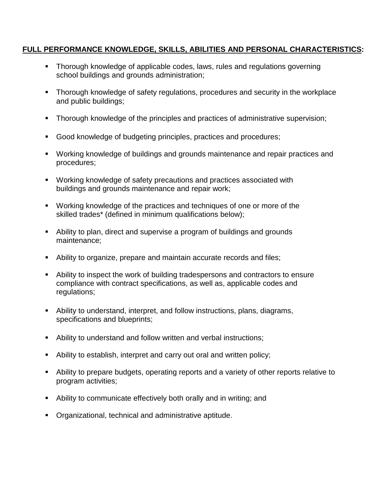### **FULL PERFORMANCE KNOWLEDGE, SKILLS, ABILITIES AND PERSONAL CHARACTERISTICS:**

- Thorough knowledge of applicable codes, laws, rules and regulations governing school buildings and grounds administration;
- **Thorough knowledge of safety regulations, procedures and security in the workplace** and public buildings;
- Thorough knowledge of the principles and practices of administrative supervision;
- Good knowledge of budgeting principles, practices and procedures;
- Working knowledge of buildings and grounds maintenance and repair practices and procedures;
- Working knowledge of safety precautions and practices associated with buildings and grounds maintenance and repair work;
- Working knowledge of the practices and techniques of one or more of the skilled trades\* (defined in minimum qualifications below);
- Ability to plan, direct and supervise a program of buildings and grounds maintenance;
- Ability to organize, prepare and maintain accurate records and files;
- Ability to inspect the work of building tradespersons and contractors to ensure compliance with contract specifications, as well as, applicable codes and regulations;
- Ability to understand, interpret, and follow instructions, plans, diagrams, specifications and blueprints;
- Ability to understand and follow written and verbal instructions;
- Ability to establish, interpret and carry out oral and written policy;
- Ability to prepare budgets, operating reports and a variety of other reports relative to program activities;
- Ability to communicate effectively both orally and in writing; and
- Organizational, technical and administrative aptitude.